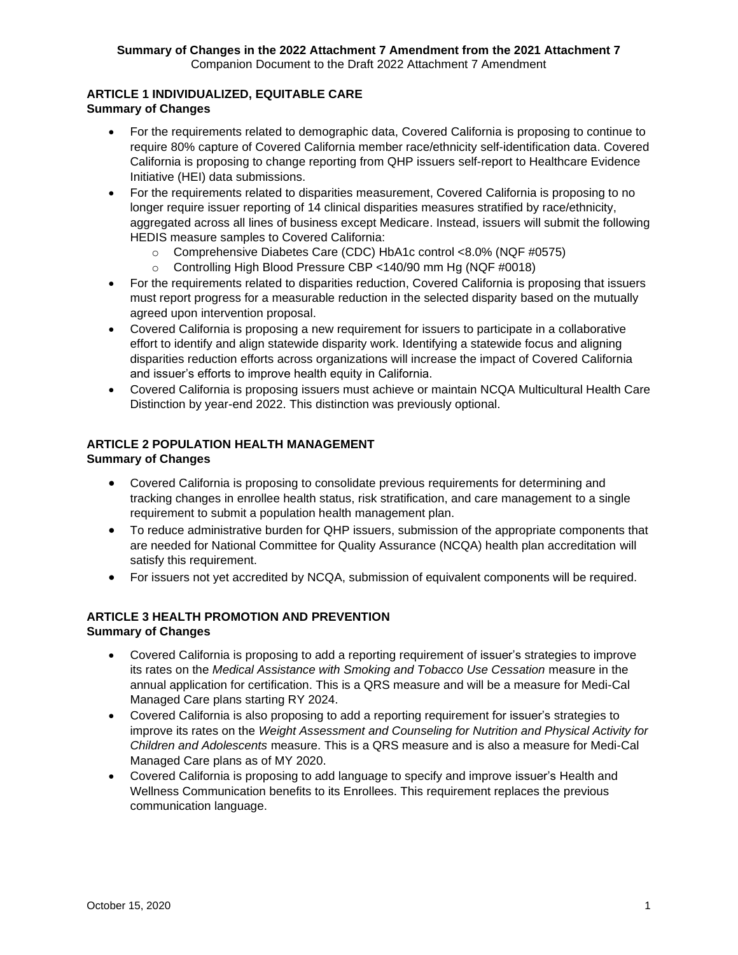#### **Summary of Changes in the 2022 Attachment 7 Amendment from the 2021 Attachment 7**  Companion Document to the Draft 2022 Attachment 7 Amendment

#### **ARTICLE 1 INDIVIDUALIZED, EQUITABLE CARE Summary of Changes**

- For the requirements related to demographic data, Covered California is proposing to continue to require 80% capture of Covered California member race/ethnicity self-identification data. Covered California is proposing to change reporting from QHP issuers self-report to Healthcare Evidence Initiative (HEI) data submissions.
- For the requirements related to disparities measurement, Covered California is proposing to no longer require issuer reporting of 14 clinical disparities measures stratified by race/ethnicity, aggregated across all lines of business except Medicare. Instead, issuers will submit the following HEDIS measure samples to Covered California:
	- o Comprehensive Diabetes Care (CDC) HbA1c control <8.0% (NQF #0575)
	- o Controlling High Blood Pressure CBP <140/90 mm Hg (NQF #0018)
- For the requirements related to disparities reduction, Covered California is proposing that issuers must report progress for a measurable reduction in the selected disparity based on the mutually agreed upon intervention proposal.
- Covered California is proposing a new requirement for issuers to participate in a collaborative effort to identify and align statewide disparity work. Identifying a statewide focus and aligning disparities reduction efforts across organizations will increase the impact of Covered California and issuer's efforts to improve health equity in California.
- Covered California is proposing issuers must achieve or maintain NCQA Multicultural Health Care Distinction by year-end 2022. This distinction was previously optional.

#### **ARTICLE 2 POPULATION HEALTH MANAGEMENT Summary of Changes**

- Covered California is proposing to consolidate previous requirements for determining and tracking changes in enrollee health status, risk stratification, and care management to a single requirement to submit a population health management plan.
- To reduce administrative burden for QHP issuers, submission of the appropriate components that are needed for National Committee for Quality Assurance (NCQA) health plan accreditation will satisfy this requirement.
- For issuers not yet accredited by NCQA, submission of equivalent components will be required.

#### **ARTICLE 3 HEALTH PROMOTION AND PREVENTION Summary of Changes**

- Covered California is proposing to add a reporting requirement of issuer's strategies to improve its rates on the *Medical Assistance with Smoking and Tobacco Use Cessation* measure in the annual application for certification. This is a QRS measure and will be a measure for Medi-Cal Managed Care plans starting RY 2024.
- Covered California is also proposing to add a reporting requirement for issuer's strategies to improve its rates on the *Weight Assessment and Counseling for Nutrition and Physical Activity for Children and Adolescents* measure. This is a QRS measure and is also a measure for Medi-Cal Managed Care plans as of MY 2020.
- Covered California is proposing to add language to specify and improve issuer's Health and Wellness Communication benefits to its Enrollees. This requirement replaces the previous communication language.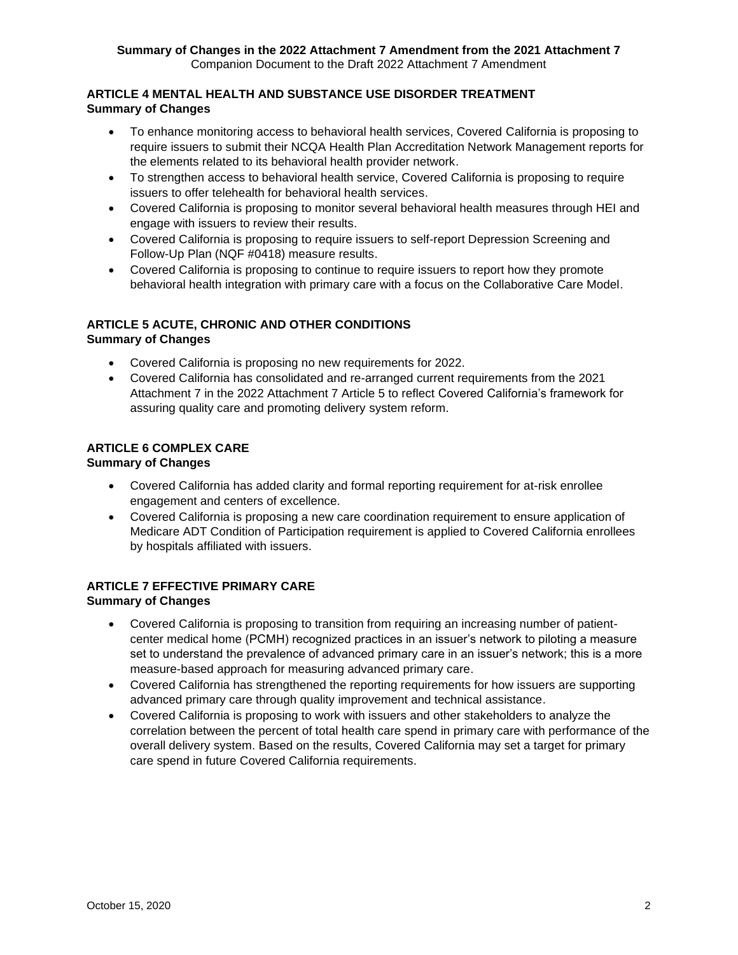#### **ARTICLE 4 MENTAL HEALTH AND SUBSTANCE USE DISORDER TREATMENT Summary of Changes**

- To enhance monitoring access to behavioral health services, Covered California is proposing to require issuers to submit their NCQA Health Plan Accreditation Network Management reports for the elements related to its behavioral health provider network.
- To strengthen access to behavioral health service, Covered California is proposing to require issuers to offer telehealth for behavioral health services.
- Covered California is proposing to monitor several behavioral health measures through HEI and engage with issuers to review their results.
- Covered California is proposing to require issuers to self-report Depression Screening and Follow-Up Plan (NQF #0418) measure results.
- Covered California is proposing to continue to require issuers to report how they promote behavioral health integration with primary care with a focus on the Collaborative Care Model.

# **ARTICLE 5 ACUTE, CHRONIC AND OTHER CONDITIONS**

# **Summary of Changes**

- Covered California is proposing no new requirements for 2022.
- Covered California has consolidated and re-arranged current requirements from the 2021 Attachment 7 in the 2022 Attachment 7 Article 5 to reflect Covered California's framework for assuring quality care and promoting delivery system reform.

# **ARTICLE 6 COMPLEX CARE**

# **Summary of Changes**

- Covered California has added clarity and formal reporting requirement for at-risk enrollee engagement and centers of excellence.
- Covered California is proposing a new care coordination requirement to ensure application of Medicare ADT Condition of Participation requirement is applied to Covered California enrollees by hospitals affiliated with issuers.

#### **ARTICLE 7 EFFECTIVE PRIMARY CARE Summary of Changes**

- Covered California is proposing to transition from requiring an increasing number of patientcenter medical home (PCMH) recognized practices in an issuer's network to piloting a measure set to understand the prevalence of advanced primary care in an issuer's network; this is a more measure-based approach for measuring advanced primary care.
- Covered California has strengthened the reporting requirements for how issuers are supporting advanced primary care through quality improvement and technical assistance.
- Covered California is proposing to work with issuers and other stakeholders to analyze the correlation between the percent of total health care spend in primary care with performance of the overall delivery system. Based on the results, Covered California may set a target for primary care spend in future Covered California requirements.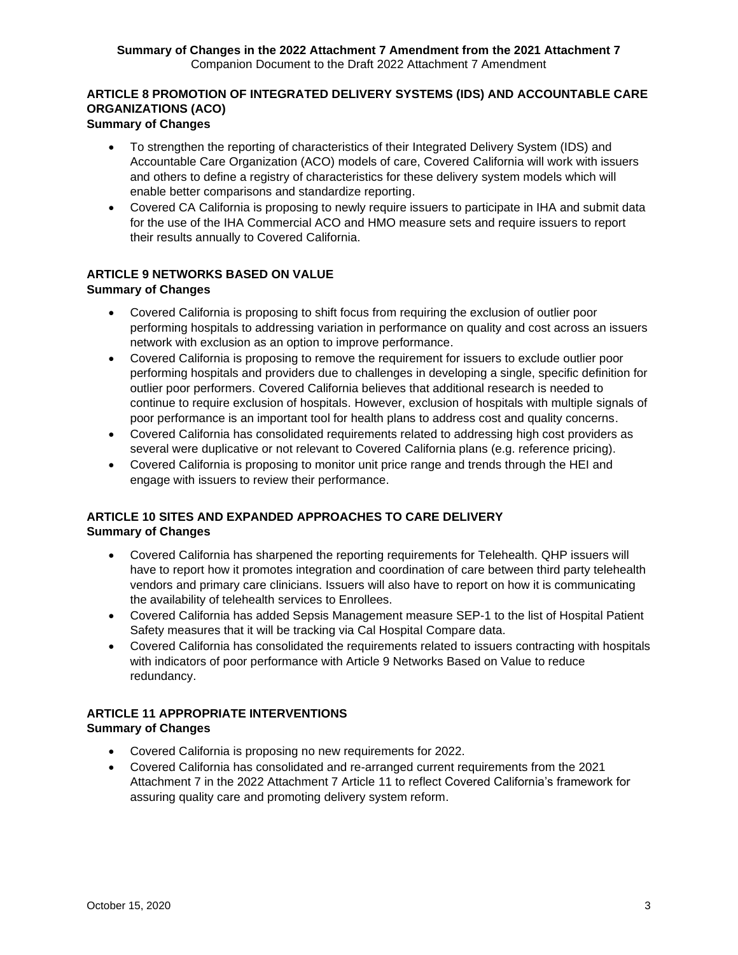#### **Summary of Changes in the 2022 Attachment 7 Amendment from the 2021 Attachment 7**  Companion Document to the Draft 2022 Attachment 7 Amendment

#### **ARTICLE 8 PROMOTION OF INTEGRATED DELIVERY SYSTEMS (IDS) AND ACCOUNTABLE CARE ORGANIZATIONS (ACO) Summary of Changes**

#### • To strengthen the reporting of characteristics of their Integrated Delivery System (IDS) and Accountable Care Organization (ACO) models of care, Covered California will work with issuers and others to define a registry of characteristics for these delivery system models which will enable better comparisons and standardize reporting.

• Covered CA California is proposing to newly require issuers to participate in IHA and submit data for the use of the IHA Commercial ACO and HMO measure sets and require issuers to report their results annually to Covered California.

# **ARTICLE 9 NETWORKS BASED ON VALUE**

# **Summary of Changes**

- Covered California is proposing to shift focus from requiring the exclusion of outlier poor performing hospitals to addressing variation in performance on quality and cost across an issuers network with exclusion as an option to improve performance.
- Covered California is proposing to remove the requirement for issuers to exclude outlier poor performing hospitals and providers due to challenges in developing a single, specific definition for outlier poor performers. Covered California believes that additional research is needed to continue to require exclusion of hospitals. However, exclusion of hospitals with multiple signals of poor performance is an important tool for health plans to address cost and quality concerns.
- Covered California has consolidated requirements related to addressing high cost providers as several were duplicative or not relevant to Covered California plans (e.g. reference pricing).
- Covered California is proposing to monitor unit price range and trends through the HEI and engage with issuers to review their performance.

# **ARTICLE 10 SITES AND EXPANDED APPROACHES TO CARE DELIVERY Summary of Changes**

- Covered California has sharpened the reporting requirements for Telehealth. QHP issuers will have to report how it promotes integration and coordination of care between third party telehealth vendors and primary care clinicians. Issuers will also have to report on how it is communicating the availability of telehealth services to Enrollees.
- Covered California has added Sepsis Management measure SEP-1 to the list of Hospital Patient Safety measures that it will be tracking via Cal Hospital Compare data.
- Covered California has consolidated the requirements related to issuers contracting with hospitals with indicators of poor performance with Article 9 Networks Based on Value to reduce redundancy.

# **ARTICLE 11 APPROPRIATE INTERVENTIONS**

# **Summary of Changes**

- Covered California is proposing no new requirements for 2022.
- Covered California has consolidated and re-arranged current requirements from the 2021 Attachment 7 in the 2022 Attachment 7 Article 11 to reflect Covered California's framework for assuring quality care and promoting delivery system reform.